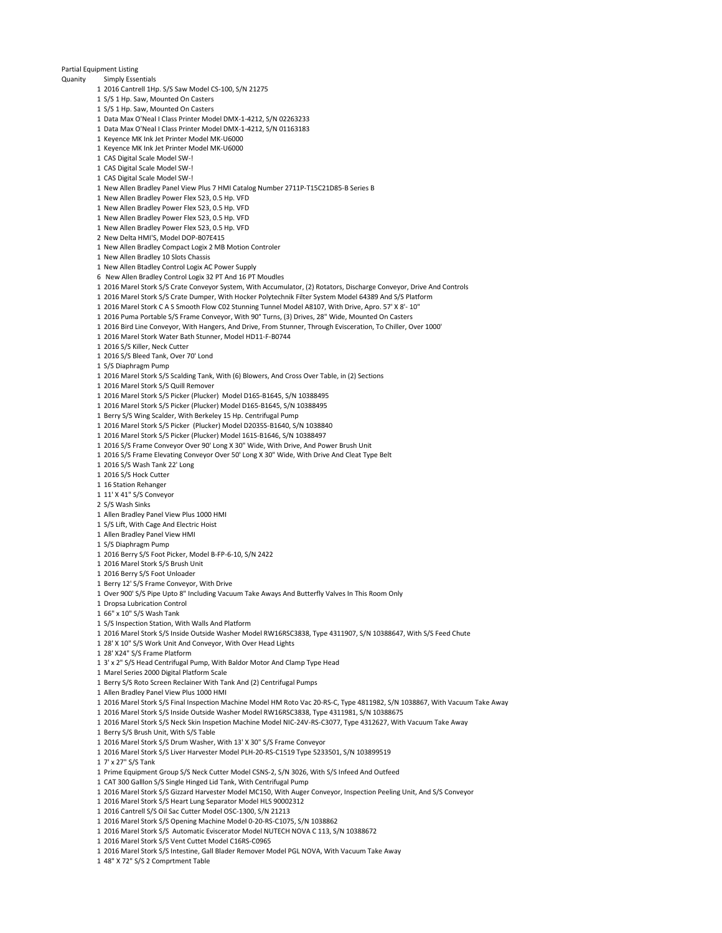## **Partial Equipment Listing**<br>**Quanity Simply Esse**

## Simply Essentials

- 2016 Cantrell 1Hp. S/S Saw Model CS-100, S/N 21275
- S/S 1 Hp. Saw, Mounted On Casters
- S/S 1 Hp. Saw, Mounted On Casters
- Data Max O'Neal I Class Printer Model DMX-1-4212, S/N 02263233
- Data Max O'Neal I Class Printer Model DMX-1-4212, S/N 01163183
- Keyence MK Ink Jet Printer Model MK-U6000
- Keyence MK Ink Jet Printer Model MK-U6000
- CAS Digital Scale Model SW-!
- CAS Digital Scale Model SW-!
- CAS Digital Scale Model SW-!
- New Allen Bradley Panel View Plus 7 HMI Catalog Number 2711P-T15C21D85-B Series B
- New Allen Bradley Power Flex 523, 0.5 Hp. VFD
- New Allen Bradley Power Flex 523, 0.5 Hp. VFD
- New Allen Bradley Power Flex 523, 0.5 Hp. VFD
- New Allen Bradley Power Flex 523, 0.5 Hp. VFD
- New Delta HMI'S, Model DOP-B07E415
- New Allen Bradley Compact Logix 2 MB Motion Controler
- New Allen Bradley 10 Slots Chassis
- New Allen Btadley Control Logix AC Power Supply
- 6 New Allen Bradley Control Logix 32 PT And 16 PT Moudles
- 2016 Marel Stork S/S Crate Conveyor System, With Accumulator, (2) Rotators, Discharge Conveyor, Drive And Controls
- 2016 Marel Stork S/S Crate Dumper, With Hocker Polytechnik Filter System Model 64389 And S/S Platform
- 2016 Marel Stork C A S Smooth Flow C02 Stunning Tunnel Model A8107, With Drive, Apro. 57' X 8'- 10"
- 2016 Puma Portable S/S Frame Conveyor, With 90° Turns, (3) Drives, 28" Wide, Mounted On Casters
- 2016 Bird Line Conveyor, With Hangers, And Drive, From Stunner, Through Evisceration, To Chiller, Over 1000'
- 2016 Marel Stork Water Bath Stunner, Model HD11-F-B0744
- 2016 S/S Killer, Neck Cutter
- 2016 S/S Bleed Tank, Over 70' Lond
- S/S Diaphragm Pump
- 2016 Marel Stork S/S Scalding Tank, With (6) Blowers, And Cross Over Table, in (2) Sections
- 2016 Marel Stork S/S Quill Remover
- 2016 Marel Stork S/S Picker (Plucker) Model D165-B1645, S/N 10388495
- 2016 Marel Stork S/S Picker (Plucker) Model D165-B1645, S/N 10388495
- Berry S/S Wing Scalder, With Berkeley 15 Hp. Centrifugal Pump
- 2016 Marel Stork S/S Picker (Plucker) Model D2035S-B1640, S/N 1038840
- 2016 Marel Stork S/S Picker (Plucker) Model 161S-B1646, S/N 10388497
- 2016 S/S Frame Conveyor Over 90' Long X 30" Wide, With Drive, And Power Brush Unit
- 2016 S/S Frame Elevating Conveyor Over 50' Long X 30" Wide, With Drive And Cleat Type Belt
- 2016 S/S Wash Tank 22' Long
- 2016 S/S Hock Cutter
- 16 Station Rehanger
- 11' X 41" S/S Conveyor
- S/S Wash Sinks
- Allen Bradley Panel View Plus 1000 HMI
- S/S Lift, With Cage And Electric Hoist
- Allen Bradley Panel View HMI
- S/S Diaphragm Pump
- 
- 2016 Berry S/S Foot Picker, Model B-FP-6-10, S/N 2422
- 2016 Marel Stork S/S Brush Unit
- 2016 Berry S/S Foot Unloader
- Berry 12' S/S Frame Conveyor, With Drive
- Over 900' S/S Pipe Upto 8" Including Vacuum Take Aways And Butterfly Valves In This Room Only
- Dropsa Lubrication Control
- 66" x 10" S/S Wash Tank
- S/S Inspection Station, With Walls And Platform
- 2016 Marel Stork S/S Inside Outside Washer Model RW16RSC3838, Type 4311907, S/N 10388647, With S/S Feed Chute
- 28' X 10" S/S Work Unit And Conveyor, With Over Head Lights
- 28' X24" S/S Frame Platform
- 3' x 2" S/S Head Centrifugal Pump, With Baldor Motor And Clamp Type Head
- Marel Series 2000 Digital Platform Scale
- Berry S/S Roto Screen Reclainer With Tank And (2) Centrifugal Pumps
- Allen Bradley Panel View Plus 1000 HMI
- 2016 Marel Stork S/S Final Inspection Machine Model HM Roto Vac 20-RS-C, Type 4811982, S/N 1038867, With Vacuum Take Away
- 2016 Marel Stork S/S Inside Outside Washer Model RW16RSC3838, Type 4311981, S/N 10388675
- 2016 Marel Stork S/S Neck Skin Inspetion Machine Model NIC-24V-RS-C3077, Type 4312627, With Vacuum Take Away
- Berry S/S Brush Unit, With S/S Table
- 2016 Marel Stork S/S Drum Washer, With 13' X 30" S/S Frame Conveyor
- 2016 Marel Stork S/S Liver Harvester Model PLH-20-RS-C1519 Type 5233501, S/N 103899519
- 7' x 27" S/S Tank
- Prime Equipment Group S/S Neck Cutter Model CSNS-2, S/N 3026, With S/S Infeed And Outfeed
- CAT 300 Galllon S/S Single Hinged Lid Tank, With Centrifugal Pump
- 2016 Marel Stork S/S Gizzard Harvester Model MC150, With Auger Conveyor, Inspection Peeling Unit, And S/S Conveyor
- 2016 Marel Stork S/S Heart Lung Separator Model HLS 90002312
- 2016 Cantrell S/S Oil Sac Cutter Model OSC-1300, S/N 21213
- 2016 Marel Stork S/S Opening Machine Model 0-20-RS-C1075, S/N 1038862
- 2016 Marel Stork S/S Automatic Eviscerator Model NUTECH NOVA C 113, S/N 10388672
- 2016 Marel Stork S/S Vent Cuttet Model C16RS-C0965
- 2016 Marel Stork S/S Intestine, Gall Blader Remover Model PGL NOVA, With Vacuum Take Away
- 48" X 72" S/S 2 Comprtment Table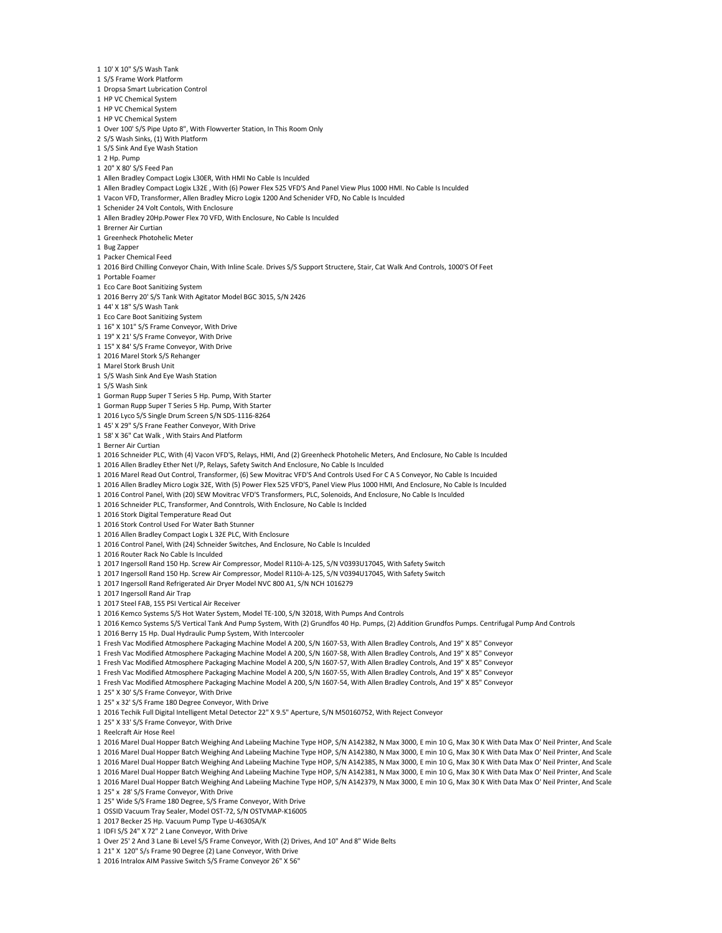- 10' X 10" S/S Wash Tank
- S/S Frame Work Platform
- Dropsa Smart Lubrication Control
- HP VC Chemical System
- HP VC Chemical System
- HP VC Chemical System
- Over 100' S/S Pipe Upto 8", With Flowverter Station, In This Room Only
- S/S Wash Sinks, (1) With Platform
- S/S Sink And Eye Wash Station
- 2 Hp. Pump
- 20" X 80' S/S Feed Pan
- Allen Bradley Compact Logix L30ER, With HMI No Cable Is Inculded
- Allen Bradley Compact Logix L32E , With (6) Power Flex 525 VFD'S And Panel View Plus 1000 HMI. No Cable Is Inculded
- Vacon VFD, Transformer, Allen Bradley Micro Logix 1200 And Schenider VFD, No Cable Is Inculded
- Schenider 24 Volt Contols, With Enclosure
- Allen Bradley 20Hp.Power Flex 70 VFD, With Enclosure, No Cable Is Inculded
- Brerner Air Curtian
- Greenheck Photohelic Meter
- Bug Zapper
- Packer Chemical Feed
- 2016 Bird Chilling Conveyor Chain, With Inline Scale. Drives S/S Support Structere, Stair, Cat Walk And Controls, 1000'S Of Feet
- Portable Foamer
- Eco Care Boot Sanitizing System
- 2016 Berry 20' S/S Tank With Agitator Model BGC 3015, S/N 2426
- 44' X 18" S/S Wash Tank
- Eco Care Boot Sanitizing System
- 16" X 101" S/S Frame Conveyor, With Drive
- 19" X 21' S/S Frame Conveyor, With Drive
- 15" X 84' S/S Frame Conveyor, With Drive
- 2016 Marel Stork S/S Rehanger
- Marel Stork Brush Unit
- S/S Wash Sink And Eye Wash Station
- S/S Wash Sink
- Gorman Rupp Super T Series 5 Hp. Pump, With Starter
- Gorman Rupp Super T Series 5 Hp. Pump, With Starter
- 2016 Lyco S/S Single Drum Screen S/N SDS-1116-8264
- 45' X 29" S/S Frane Feather Conveyor, With Drive
- 58' X 36" Cat Walk , With Stairs And Platform
- Berner Air Curtian
- 2016 Schneider PLC, With (4) Vacon VFD'S, Relays, HMI, And (2) Greenheck Photohelic Meters, And Enclosure, No Cable Is Inculded
- 2016 Allen Bradley Ether Net I/P, Relays, Safety Switch And Enclosure, No Cable Is Inculded
- 2016 Marel Read Out Control, Transformer, (6) Sew Movitrac VFD'S And Controls Used For C A S Conveyor, No Cable Is Incuided
- 2016 Allen Bradley Micro Logix 32E, With (5) Power Flex 525 VFD'S, Panel View Plus 1000 HMI, And Enclosure, No Cable Is Inculded
- 2016 Control Panel, With (20) SEW Movitrac VFD'S Transformers, PLC, Solenoids, And Enclosure, No Cable Is Inculded
- 2016 Schneider PLC, Transformer, And Conntrols, With Enclosure, No Cable Is Inclded
- 2016 Stork Digital Temperature Read Out
- 2016 Stork Control Used For Water Bath Stunner
- 2016 Allen Bradley Compact Logix L 32E PLC, With Enclosure
- 2016 Control Panel, With (24) Schneider Switches, And Enclosure, No Cable Is Inculded
- 2016 Router Rack No Cable Is Inculded
- 2017 Ingersoll Rand 150 Hp. Screw Air Compressor, Model R110i-A-125, S/N V0393U17045, With Safety Switch
- 2017 Ingersoll Rand 150 Hp. Screw Air Compressor, Model R110i-A-125, S/N V0394U17045, With Safety Switch
- 2017 Ingersoll Rand Refrigerated Air Dryer Model NVC 800 A1, S/N NCH 1016279
- 2017 Ingersoll Rand Air Trap
- 2017 Steel FAB, 155 PSI Vertical Air Receiver
- 2016 Kemco Systems S/S Hot Water System, Model TE-100, S/N 32018, With Pumps And Controls
- 2016 Kemco Systems S/S Vertical Tank And Pump System, With (2) Grundfos 40 Hp. Pumps, (2) Addition Grundfos Pumps. Centrifugal Pump And Controls
- 2016 Berry 15 Hp. Dual Hydraulic Pump System, With Intercooler
- Fresh Vac Modified Atmosphere Packaging Machine Model A 200, S/N 1607-53, With Allen Bradley Controls, And 19" X 85" Conveyor
- Fresh Vac Modified Atmosphere Packaging Machine Model A 200, S/N 1607-58, With Allen Bradley Controls, And 19" X 85" Conveyor
- Fresh Vac Modified Atmosphere Packaging Machine Model A 200, S/N 1607-57, With Allen Bradley Controls, And 19" X 85" Conveyor
- Fresh Vac Modified Atmosphere Packaging Machine Model A 200, S/N 1607-55, With Allen Bradley Controls, And 19" X 85" Conveyor
- Fresh Vac Modified Atmosphere Packaging Machine Model A 200, S/N 1607-54, With Allen Bradley Controls, And 19" X 85" Conveyor
- 
- 25" X 30' S/S Frame Conveyor, With Drive
- 25" x 32' S/S Frame 180 Degree Conveyor, With Drive
- 2016 Techik Full Digital Intelligent Metal Detector 22" X 9.5" Aperture, S/N M50160752, With Reject Conveyor
- 25" X 33' S/S Frame Conveyor, With Drive
- Reelcraft Air Hose Reel
- 2016 Marel Dual Hopper Batch Weighing And Labeiing Machine Type HOP, S/N A142382, N Max 3000, E min 10 G, Max 30 K With Data Max O' Neil Printer, And Scale 2016 Marel Dual Hopper Batch Weighing And Labeiing Machine Type HOP, S/N A142380, N Max 3000, E min 10 G, Max 30 K With Data Max O' Neil Printer, And Scale
- 
- 2016 Marel Dual Hopper Batch Weighing And Labeiing Machine Type HOP, S/N A142385, N Max 3000, E min 10 G, Max 30 K With Data Max O' Neil Printer, And Scale
- 2016 Marel Dual Hopper Batch Weighing And Labeiing Machine Type HOP, S/N A142381, N Max 3000, E min 10 G, Max 30 K With Data Max O' Neil Printer, And Scale
- 2016 Marel Dual Hopper Batch Weighing And Labeiing Machine Type HOP, S/N A142379, N Max 3000, E min 10 G, Max 30 K With Data Max O' Neil Printer, And Scale 25" x 28' S/S Frame Conveyor, With Drive
- 
- 25" Wide S/S Frame 180 Degree, S/S Frame Conveyor, With Drive OSSID Vacuum Tray Sealer, Model OST-72, S/N OSTVMAP-K16005
- 2017 Becker 25 Hp. Vacuum Pump Type U-4630SA/K
- IDFI S/S 24" X 72" 2 Lane Conveyor, With Drive
- 
- Over 25' 2 And 3 Lane Bi Level S/S Frame Conveyor, With (2) Drives, And 10" And 8" Wide Belts
- 21" X 120" S/s Frame 90 Degree (2) Lane Conveyor, With Drive
- 2016 Intralox AIM Passive Switch S/S Frame Conveyor 26" X 56"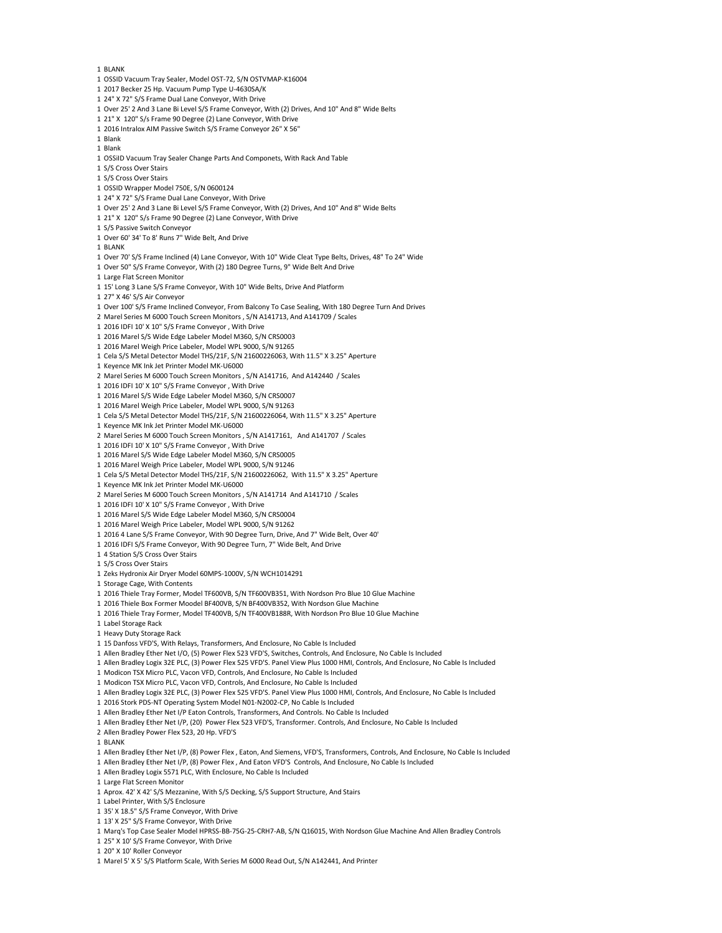- BLANK
- OSSID Vacuum Tray Sealer, Model OST-72, S/N OSTVMAP-K16004
- 2017 Becker 25 Hp. Vacuum Pump Type U-4630SA/K
- 24" X 72" S/S Frame Dual Lane Conveyor, With Drive
- Over 25' 2 And 3 Lane Bi Level S/S Frame Conveyor, With (2) Drives, And 10" And 8" Wide Belts
- 21" X 120" S/s Frame 90 Degree (2) Lane Conveyor, With Drive
- 2016 Intralox AIM Passive Switch S/S Frame Conveyor 26" X 56"
- Blank
- Blank
- OSSiID Vacuum Tray Sealer Change Parts And Componets, With Rack And Table
- S/S Cross Over Stairs
- S/S Cross Over Stairs
- OSSID Wrapper Model 750E, S/N 0600124
- 24" X 72" S/S Frame Dual Lane Conveyor, With Drive
- Over 25' 2 And 3 Lane Bi Level S/S Frame Conveyor, With (2) Drives, And 10" And 8" Wide Belts
- 21" X 120" S/s Frame 90 Degree (2) Lane Conveyor, With Drive
- S/S Passive Switch Conveyor
- Over 60' 34' To 8' Runs 7" Wide Belt, And Drive
- BLANK
- Over 70' S/S Frame Inclined (4) Lane Conveyor, With 10" Wide Cleat Type Belts, Drives, 48" To 24" Wide
- Over 50" S/S Frame Conveyor, With (2) 180 Degree Turns, 9" Wide Belt And Drive
- Large Flat Screen Monitor
- 15' Long 3 Lane S/S Frame Conveyor, With 10" Wide Belts, Drive And Platform
- 27" X 46' S/S Air Conveyor
- Over 100' S/S Frame Inclined Conveyor, From Balcony To Case Sealing, With 180 Degree Turn And Drives
- Marel Series M 6000 Touch Screen Monitors , S/N A141713, And A141709 / Scales
- 2016 IDFI 10' X 10" S/S Frame Conveyor , With Drive
- 2016 Marel S/S Wide Edge Labeler Model M360, S/N CRS0003
- 2016 Marel Weigh Price Labeler, Model WPL 9000, S/N 91265
- Cela S/S Metal Detector Model THS/21F, S/N 21600226063, With 11.5" X 3.25" Aperture
- Keyence MK Ink Jet Printer Model MK-U6000
- Marel Series M 6000 Touch Screen Monitors , S/N A141716, And A142440 / Scales
- 2016 IDFI 10' X 10" S/S Frame Conveyor , With Drive
- 2016 Marel S/S Wide Edge Labeler Model M360, S/N CRS0007
- 2016 Marel Weigh Price Labeler, Model WPL 9000, S/N 91263
- Cela S/S Metal Detector Model THS/21F, S/N 21600226064, With 11.5" X 3.25" Aperture
- Keyence MK Ink Jet Printer Model MK-U6000
- Marel Series M 6000 Touch Screen Monitors , S/N A1417161, And A141707 / Scales
- 2016 IDFI 10' X 10" S/S Frame Conveyor , With Drive
- 2016 Marel S/S Wide Edge Labeler Model M360, S/N CRS0005
- 2016 Marel Weigh Price Labeler, Model WPL 9000, S/N 91246
- Cela S/S Metal Detector Model THS/21F, S/N 21600226062, With 11.5" X 3.25" Aperture
- Keyence MK Ink Jet Printer Model MK-U6000
- Marel Series M 6000 Touch Screen Monitors , S/N A141714 And A141710 / Scales
- 2016 IDFI 10' X 10" S/S Frame Conveyor , With Drive
- 2016 Marel S/S Wide Edge Labeler Model M360, S/N CRS0004
- 2016 Marel Weigh Price Labeler, Model WPL 9000, S/N 91262
- 2016 4 Lane S/S Frame Conveyor, With 90 Degree Turn, Drive, And 7" Wide Belt, Over 40'
- 2016 IDFI S/S Frame Conveyor, With 90 Degree Turn, 7" Wide Belt, And Drive
- 4 Station S/S Cross Over Stairs
- S/S Cross Over Stairs
- Zeks Hydronix Air Dryer Model 60MPS-1000V, S/N WCH1014291
- Storage Cage, With Contents
- 2016 Thiele Tray Former, Model TF600VB, S/N TF600VB351, With Nordson Pro Blue 10 Glue Machine
- 2016 Thiele Box Former Moodel BF400VB, S/N BF400VB352, With Nordson Glue Machine
- 2016 Thiele Tray Former, Model TF400VB, S/N TF400VB188R, With Nordson Pro Blue 10 Glue Machine
- Label Storage Rack
- Heavy Duty Storage Rack
- 15 Danfoss VFD'S, With Relays, Transformers, And Enclosure, No Cable Is Included
- Allen Bradley Ether Net I/O, (5) Power Flex 523 VFD'S, Switches, Controls, And Enclosure, No Cable Is Included
- Allen Bradley Logix 32E PLC, (3) Power Flex 525 VFD'S. Panel View Plus 1000 HMI, Controls, And Enclosure, No Cable Is Included
- Modicon TSX Micro PLC, Vacon VFD, Controls, And Enclosure, No Cable Is Included
- Modicon TSX Micro PLC, Vacon VFD, Controls, And Enclosure, No Cable Is Included
- Allen Bradley Logix 32E PLC, (3) Power Flex 525 VFD'S. Panel View Plus 1000 HMI, Controls, And Enclosure, No Cable Is Included
- 2016 Stork PDS-NT Operating System Model N01-N2002-CP, No Cable Is Included
- Allen Bradley Ether Net I/P Eaton Controls, Transformers, And Controls. No Cable Is Included
- Allen Bradley Ether Net I/P, (20) Power Flex 523 VFD'S, Transformer. Controls, And Enclosure, No Cable Is Included
- Allen Bradley Power Flex 523, 20 Hp. VFD'S
- BLANK
- Allen Bradley Ether Net I/P, (8) Power Flex , Eaton, And Siemens, VFD'S, Transformers, Controls, And Enclosure, No Cable Is Included
- Allen Bradley Ether Net I/P, (8) Power Flex , And Eaton VFD'S Controls, And Enclosure, No Cable Is Included
- Allen Bradley Logix 5571 PLC, With Enclosure, No Cable Is Included
- Large Flat Screen Monitor
- Aprox. 42' X 42' S/S Mezzanine, With S/S Decking, S/S Support Structure, And Stairs
- Label Printer, With S/S Enclosure
- 35' X 18.5" S/S Frame Conveyor, With Drive
- 13' X 25" S/S Frame Conveyor, With Drive
- Marq's Top Case Sealer Model HPRSS-BB-75G-25-CRH7-AB, S/N Q16015, With Nordson Glue Machine And Allen Bradley Controls
- 25" X 10' S/S Frame Conveyor, With Drive
- 20" X 10' Roller Conveyor
- Marel 5' X 5' S/S Platform Scale, With Series M 6000 Read Out, S/N A142441, And Printer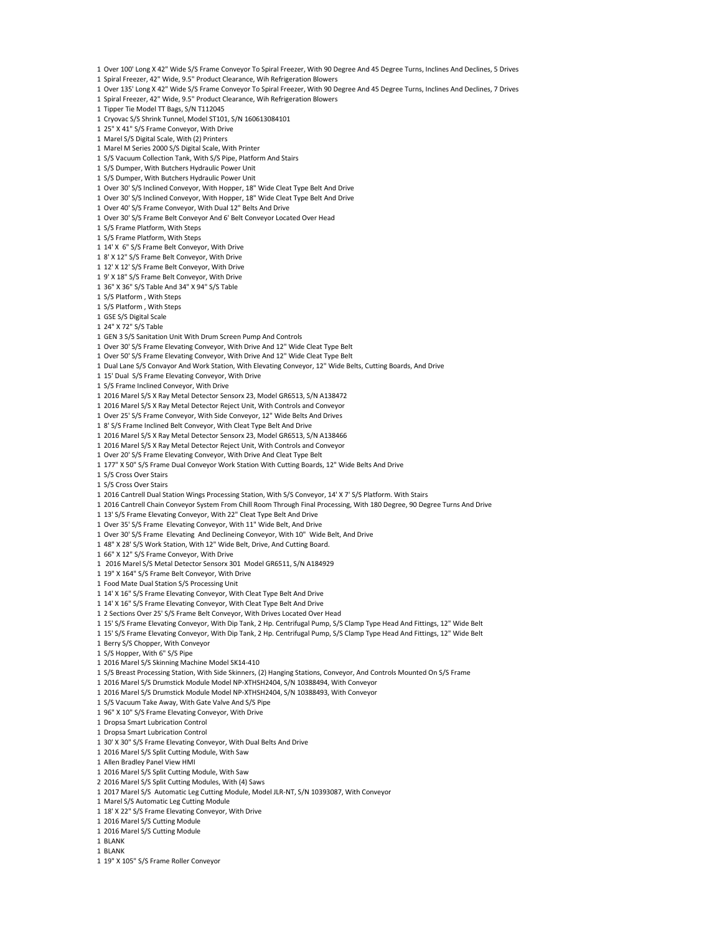- Over 100' Long X 42" Wide S/S Frame Conveyor To Spiral Freezer, With 90 Degree And 45 Degree Turns, Inclines And Declines, 5 Drives
- Spiral Freezer, 42" Wide, 9.5" Product Clearance, Wih Refrigeration Blowers
- Over 135' Long X 42" Wide S/S Frame Conveyor To Spiral Freezer, With 90 Degree And 45 Degree Turns, Inclines And Declines, 7 Drives
- Spiral Freezer, 42" Wide, 9.5" Product Clearance, Wih Refrigeration Blowers
- Tipper Tie Model TT Bags, S/N T112045
- Cryovac S/S Shrink Tunnel, Model ST101, S/N 160613084101
- 25" X 41" S/S Frame Conveyor, With Drive
- Marel S/S Digital Scale, With (2) Printers
- Marel M Series 2000 S/S Digital Scale, With Printer
- S/S Vacuum Collection Tank, With S/S Pipe, Platform And Stairs
- S/S Dumper, With Butchers Hydraulic Power Unit
- S/S Dumper, With Butchers Hydraulic Power Unit
- Over 30' S/S Inclined Conveyor, With Hopper, 18" Wide Cleat Type Belt And Drive
- Over 30' S/S Inclined Conveyor, With Hopper, 18" Wide Cleat Type Belt And Drive
- Over 40' S/S Frame Conveyor, With Dual 12" Belts And Drive
- Over 30' S/S Frame Belt Conveyor And 6' Belt Conveyor Located Over Head
- S/S Frame Platform, With Steps
- S/S Frame Platform, With Steps
- 14' X 6" S/S Frame Belt Conveyor, With Drive
- 8' X 12" S/S Frame Belt Conveyor, With Drive
- 12' X 12' S/S Frame Belt Conveyor, With Drive
- 9' X 18" S/S Frame Belt Conveyor, With Drive
- 36" X 36" S/S Table And 34" X 94" S/S Table
- S/S Platform , With Steps
- S/S Platform , With Steps
- GSE S/S Digital Scale
- 24" X 72" S/S Table
- GEN 3 S/S Sanitation Unit With Drum Screen Pump And Controls
- Over 30' S/S Frame Elevating Conveyor, With Drive And 12" Wide Cleat Type Belt
- Over 50' S/S Frame Elevating Conveyor, With Drive And 12" Wide Cleat Type Belt
- Dual Lane S/S Convayor And Work Station, With Elevating Conveyor, 12" Wide Belts, Cutting Boards, And Drive
- 15' Dual S/S Frame Elevating Conveyor, With Drive
- S/S Frame Inclined Conveyor, With Drive
- 2016 Marel S/S X Ray Metal Detector Sensorx 23, Model GR6513, S/N A138472
- 2016 Marel S/S X Ray Metal Detector Reject Unit, With Controls and Conveyor
- Over 25' S/S Frame Conveyor, With Side Conveyor, 12" Wide Belts And Drives
- 8' S/S Frame Inclined Belt Conveyor, With Cleat Type Belt And Drive
- 2016 Marel S/S X Ray Metal Detector Sensorx 23, Model GR6513, S/N A138466
- 2016 Marel S/S X Ray Metal Detector Reject Unit, With Controls and Conveyor
- Over 20' S/S Frame Elevating Conveyor, With Drive And Cleat Type Belt
- 177" X 50" S/S Frame Dual Conveyor Work Station With Cutting Boards, 12" Wide Belts And Drive
- S/S Cross Over Stairs
- S/S Cross Over Stairs
- 2016 Cantrell Dual Station Wings Processing Station, With S/S Conveyor, 14' X 7' S/S Platform. With Stairs
- 2016 Cantrell Chain Conveyor System From Chill Room Through Final Processing, With 180 Degree, 90 Degree Turns And Drive
- 13' S/S Frame Elevating Conveyor, With 22" Cleat Type Belt And Drive
- Over 35' S/S Frame Elevating Conveyor, With 11" Wide Belt, And Drive
- Over 30' S/S Frame Elevating And Declineing Conveyor, With 10" Wide Belt, And Drive
- 48" X 28' S/S Work Station, With 12" Wide Belt, Drive, And Cutting Board.
- 66" X 12" S/S Frame Conveyor, With Drive
- 1 2016 Marel S/S Metal Detector Sensorx 301 Model GR6511, S/N A184929
- 19" X 164" S/S Frame Belt Conveyor, With Drive
- Food Mate Dual Station S/S Processing Unit
- 14' X 16" S/S Frame Elevating Conveyor, With Cleat Type Belt And Drive
- 14' X 16" S/S Frame Elevating Conveyor, With Cleat Type Belt And Drive
- 2 Sections Over 25' S/S Frame Belt Conveyor, With Drives Located Over Head
- 15' S/S Frame Elevating Conveyor, With Dip Tank, 2 Hp. Centrifugal Pump, S/S Clamp Type Head And Fittings, 12" Wide Belt
- 15' S/S Frame Elevating Conveyor, With Dip Tank, 2 Hp. Centrifugal Pump, S/S Clamp Type Head And Fittings, 12" Wide Belt
- Berry S/S Chopper, With Conveyor
- S/S Hopper, With 6" S/S Pipe
- 2016 Marel S/S Skinning Machine Model SK14-410
- S/S Breast Processing Station, With Side Skinners, (2) Hanging Stations, Conveyor, And Controls Mounted On S/S Frame
- 2016 Marel S/S Drumstick Module Model NP-XTHSH2404, S/N 10388494, With Conveyor
- 2016 Marel S/S Drumstick Module Model NP-XTHSH2404, S/N 10388493, With Conveyor
- S/S Vacuum Take Away, With Gate Valve And S/S Pipe
- 96" X 10" S/S Frame Elevating Conveyor, With Drive
- Dropsa Smart Lubrication Control
- 
- Dropsa Smart Lubrication Control
- 30' X 30" S/S Frame Elevating Conveyor, With Dual Belts And Drive
- 2016 Marel S/S Split Cutting Module, With Saw
- Allen Bradley Panel View HMI
- 2016 Marel S/S Split Cutting Module, With Saw
- 2016 Marel S/S Split Cutting Modules, With (4) Saws
- 2017 Marel S/S Automatic Leg Cutting Module, Model JLR-NT, S/N 10393087, With Conveyor
- Marel S/S Automatic Leg Cutting Module
- 18' X 22" S/S Frame Elevating Conveyor, With Drive
- 2016 Marel S/S Cutting Module
- 2016 Marel S/S Cutting Module
- BLANK
- BLANK
- 
- 19" X 105" S/S Frame Roller Conveyor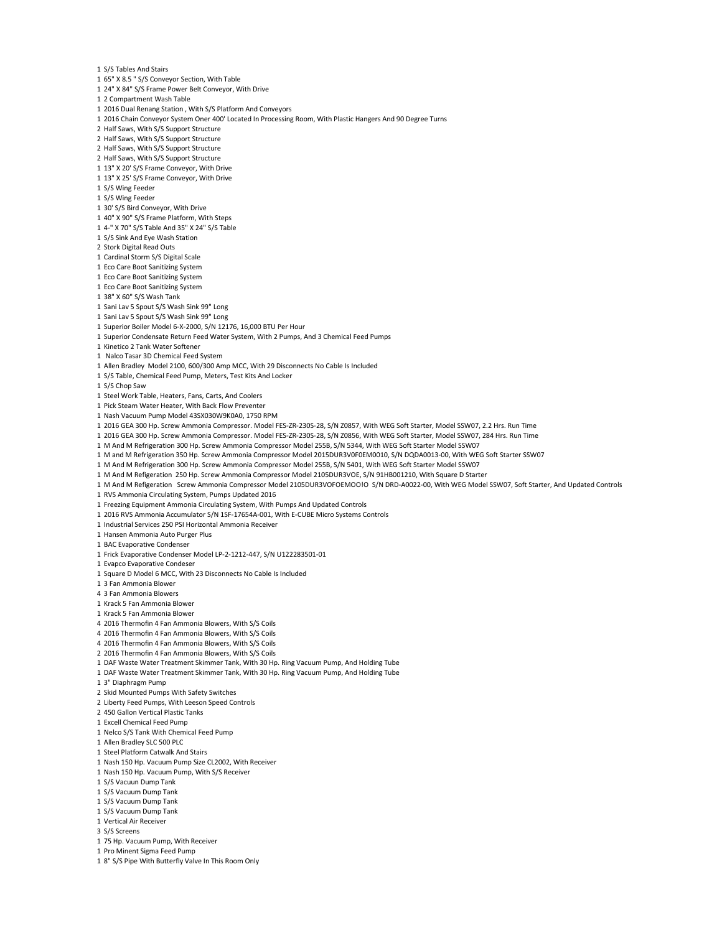- S/S Tables And Stairs
- 65" X 8.5 " S/S Conveyor Section, With Table
- 24" X 84" S/S Frame Power Belt Conveyor, With Drive
- 2 Compartment Wash Table
- 2016 Dual Renang Station , With S/S Platform And Conveyors
- 2016 Chain Conveyor System Oner 400' Located In Processing Room, With Plastic Hangers And 90 Degree Turns
- Half Saws, With S/S Support Structure
- Half Saws, With S/S Support Structure
- Half Saws, With S/S Support Structure
- Half Saws, With S/S Support Structure
- 13" X 20' S/S Frame Conveyor, With Drive
- 13" X 25' S/S Frame Conveyor, With Drive
- S/S Wing Feeder
- S/S Wing Feeder
- 30' S/S Bird Conveyor, With Drive
- 40" X 90" S/S Frame Platform, With Steps
- 4-" X 70" S/S Table And 35" X 24" S/S Table
- S/S Sink And Eye Wash Station
- Stork Digital Read Outs
- Cardinal Storm S/S Digital Scale
- Eco Care Boot Sanitizing System
- Eco Care Boot Sanitizing System
- Eco Care Boot Sanitizing System
- 38" X 60" S/S Wash Tank
- Sani Lav 5 Spout S/S Wash Sink 99" Long
- Sani Lav 5 Spout S/S Wash Sink 99" Long
- Superior Boiler Model 6-X-2000, S/N 12176, 16,000 BTU Per Hour
- Superior Condensate Return Feed Water System, With 2 Pumps, And 3 Chemical Feed Pumps
- Kinetico 2 Tank Water Softener
- 1 Nalco Tasar 3D Chemical Feed System
- 
- Allen Bradley Model 2100, 600/300 Amp MCC, With 29 Disconnects No Cable Is Included
- S/S Table, Chemical Feed Pump, Meters, Test Kits And Locker
- S/S Chop Saw
- Steel Work Table, Heaters, Fans, Carts, And Coolers
- Pick Steam Water Heater, With Back Flow Preventer
- Nash Vacuum Pump Model 43SX030W9K0A0, 1750 RPM
- 2016 GEA 300 Hp. Screw Ammonia Compressor. Model FES-ZR-230S-28, S/N Z0857, With WEG Soft Starter, Model SSW07, 2.2 Hrs. Run Time
- 2016 GEA 300 Hp. Screw Ammonia Compressor. Model FES-ZR-230S-28, S/N Z0856, With WEG Soft Starter, Model SSW07, 284 Hrs. Run Time
- M And M Refrigeration 300 Hp. Screw Ammonia Compressor Model 255B, S/N 5344, With WEG Soft Starter Model SSW07
- M and M Refrigeration 350 Hp. Screw Ammonia Compressor Model 2015DUR3V0F0EM0010, S/N DQDA0013-00, With WEG Soft Starter SSW07
- M And M Refrigeration 300 Hp. Screw Ammonia Compressor Model 255B, S/N 5401, With WEG Soft Starter Model SSW07
- M And M Refigeration 250 Hp. Screw Ammonia Compressor Model 2105DUR3VOE, S/N 91HB001210, With Square D Starter
- M And M Refigeration Screw Ammonia Compressor Model 2105DUR3VOFOEMOO!O S/N DRD-A0022-00, With WEG Model SSW07, Soft Starter, And Updated Controls
- RVS Ammonia Circulating System, Pumps Updated 2016
- Freezing Equipment Ammonia Circulating System, With Pumps And Updated Controls
- 2016 RVS Ammonia Accumulator S/N 1SF-17654A-001, With E-CUBE Micro Systems Controls
- Industrial Services 250 PSI Horizontal Ammonia Receiver
- Hansen Ammonia Auto Purger Plus
- BAC Evaporative Condenser
- Frick Evaporative Condenser Model LP-2-1212-447, S/N U122283501-01
- Evapco Evaporative Condeser
- Square D Model 6 MCC, With 23 Disconnects No Cable Is Included
- 3 Fan Ammonia Blower
- 
- 3 Fan Ammonia Blowers
- Krack 5 Fan Ammonia Blower
- Krack 5 Fan Ammonia Blower
- 2016 Thermofin 4 Fan Ammonia Blowers, With S/S Coils
- 2016 Thermofin 4 Fan Ammonia Blowers, With S/S Coils
- 2016 Thermofin 4 Fan Ammonia Blowers, With S/S Coils
- 2016 Thermofin 4 Fan Ammonia Blowers, With S/S Coils
- DAF Waste Water Treatment Skimmer Tank, With 30 Hp. Ring Vacuum Pump, And Holding Tube
- DAF Waste Water Treatment Skimmer Tank, With 30 Hp. Ring Vacuum Pump, And Holding Tube
- 3" Diaphragm Pump
- Skid Mounted Pumps With Safety Switches
- Liberty Feed Pumps, With Leeson Speed Controls
- 450 Gallon Vertical Plastic Tanks
- Excell Chemical Feed Pump
- Nelco S/S Tank With Chemical Feed Pump
- 
- Allen Bradley SLC 500 PLC
- Steel Platform Catwalk And Stairs
- Nash 150 Hp. Vacuum Pump Size CL2002, With Receiver
- Nash 150 Hp. Vacuum Pump, With S/S Receiver
- S/S Vacuun Dump Tank
- S/S Vacuum Dump Tank
- S/S Vacuum Dump Tank
- S/S Vacuum Dump Tank
- Vertical Air Receiver
- S/S Screens
- 75 Hp. Vacuum Pump, With Receiver
- Pro Minent Sigma Feed Pump
- 8" S/S Pipe With Butterfly Valve In This Room Only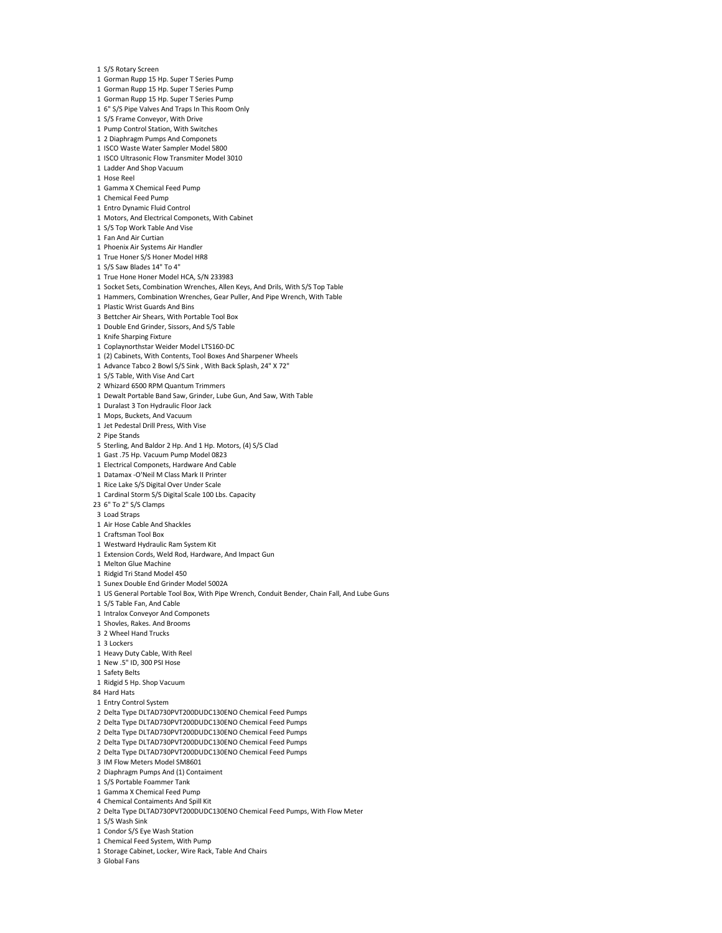- S/S Rotary Screen
- Gorman Rupp 15 Hp. Super T Series Pump
- Gorman Rupp 15 Hp. Super T Series Pump
- Gorman Rupp 15 Hp. Super T Series Pump
- 6" S/S Pipe Valves And Traps In This Room Only
- S/S Frame Conveyor, With Drive Pump Control Station, With Switches
- 
- 2 Diaphragm Pumps And Componets
- ISCO Waste Water Sampler Model 5800 ISCO Ultrasonic Flow Transmiter Model 3010
- Ladder And Shop Vacuum
- 
- Hose Reel
- Gamma X Chemical Feed Pump
- Chemical Feed Pump
- Entro Dynamic Fluid Control
- Motors, And Electrical Componets, With Cabinet
- S/S Top Work Table And Vise
- Fan And Air Curtian
- Phoenix Air Systems Air Handler
- True Honer S/S Honer Model HR8
- S/S Saw Blades 14" To 4"
- True Hone Honer Model HCA, S/N 233983
- Socket Sets, Combination Wrenches, Allen Keys, And Drils, With S/S Top Table
- Hammers, Combination Wrenches, Gear Puller, And Pipe Wrench, With Table
- Plastic Wrist Guards And Bins
- Bettcher Air Shears, With Portable Tool Box
- Double End Grinder, Sissors, And S/S Table
- Knife Sharping Fixture
- Coplaynorthstar Weider Model LTS160-DC
- 
- (2) Cabinets, With Contents, Tool Boxes And Sharpener Wheels Advance Tabco 2 Bowl S/S Sink , With Back Splash, 24" X 72"
- S/S Table, With Vise And Cart
- 
- Whizard 6500 RPM Quantum Trimmers
- Dewalt Portable Band Saw, Grinder, Lube Gun, And Saw, With Table
- Duralast 3 Ton Hydraulic Floor Jack
- Mops, Buckets, And Vacuum
- Jet Pedestal Drill Press, With Vise
- Pipe Stands
- Sterling, And Baldor 2 Hp. And 1 Hp. Motors, (4) S/S Clad
- Gast .75 Hp. Vacuum Pump Model 0823
- Electrical Componets, Hardware And Cable
- Datamax -O'Neil M Class Mark II Printer
- Rice Lake S/S Digital Over Under Scale
- Cardinal Storm S/S Digital Scale 100 Lbs. Capacity
- 6" To 2" S/S Clamps
- Load Straps
- Air Hose Cable And Shackles
- Craftsman Tool Box
- 
- Westward Hydraulic Ram System Kit
- Extension Cords, Weld Rod, Hardware, And Impact Gun
- Melton Glue Machine
- Ridgid Tri Stand Model 450
- Sunex Double End Grinder Model 5002A
- US General Portable Tool Box, With Pipe Wrench, Conduit Bender, Chain Fall, And Lube Guns
- S/S Table Fan, And Cable
- Intralox Conveyor And Componets
- Shovles, Rakes. And Brooms
- 2 Wheel Hand Trucks
- 3 Lockers
- Heavy Duty Cable, With Reel
- New .5" ID, 300 PSI Hose
- Safety Belts
- Ridgid 5 Hp. Shop Vacuum
- Hard Hats
- Entry Control System
- Delta Type DLTAD730PVT200DUDC130ENO Chemical Feed Pumps
- Delta Type DLTAD730PVT200DUDC130ENO Chemical Feed Pumps
- Delta Type DLTAD730PVT200DUDC130ENO Chemical Feed Pumps
- Delta Type DLTAD730PVT200DUDC130ENO Chemical Feed Pumps
- Delta Type DLTAD730PVT200DUDC130ENO Chemical Feed Pumps
- IM Flow Meters Model SM8601
- 
- Diaphragm Pumps And (1) Contaiment
- S/S Portable Foammer Tank
- Gamma X Chemical Feed Pump
- Chemical Contaiments And Spill Kit
- Delta Type DLTAD730PVT200DUDC130ENO Chemical Feed Pumps, With Flow Meter
- S/S Wash Sink
- Condor S/S Eye Wash Station
- Chemical Feed System, With Pump
- Storage Cabinet, Locker, Wire Rack, Table And Chairs
- Global Fans